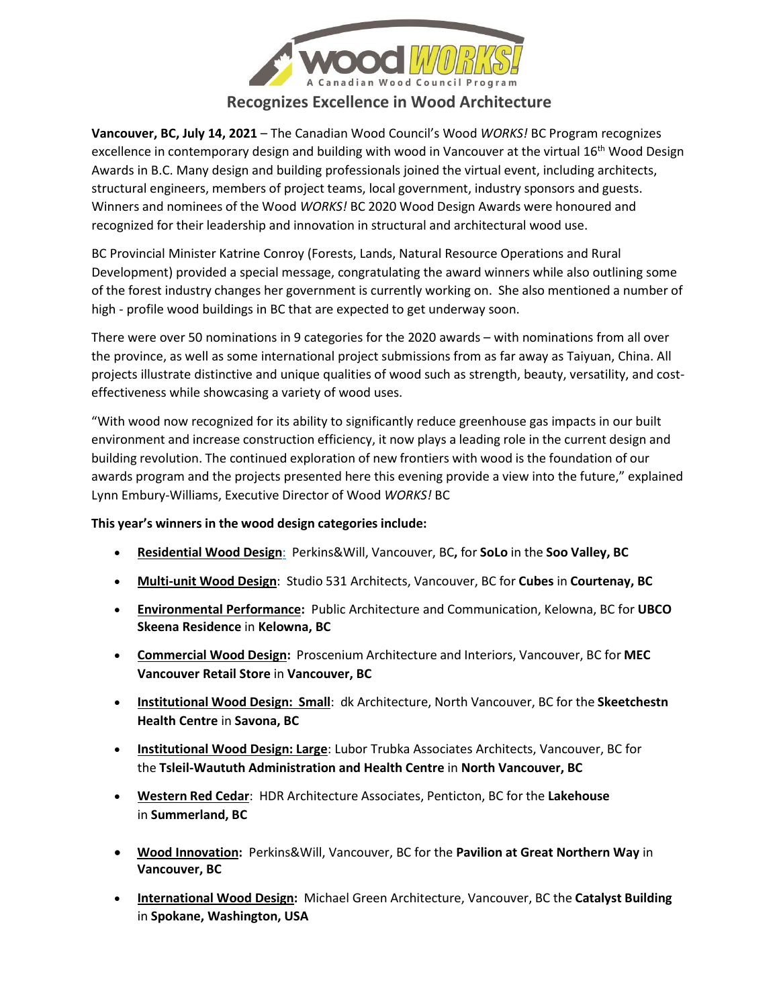

## **Recognizes Excellence in Wood Architecture**

**Vancouver, BC, July 14, 2021** – The Canadian Wood Council's Wood *WORKS!* BC Program recognizes excellence in contemporary design and building with wood in Vancouver at the virtual 16<sup>th</sup> Wood Design Awards in B.C. Many design and building professionals joined the virtual event, including architects, structural engineers, members of project teams, local government, industry sponsors and guests. Winners and nominees of the Wood *WORKS!* BC 2020 Wood Design Awards were honoured and recognized for their leadership and innovation in structural and architectural wood use.

BC Provincial Minister Katrine Conroy (Forests, Lands, Natural Resource Operations and Rural Development) provided a special message, congratulating the award winners while also outlining some of the forest industry changes her government is currently working on. She also mentioned a number of high - profile wood buildings in BC that are expected to get underway soon.

There were over 50 nominations in 9 categories for the 2020 awards – with nominations from all over the province, as well as some international project submissions from as far away as Taiyuan, China. All projects illustrate distinctive and unique qualities of wood such as strength, beauty, versatility, and costeffectiveness while showcasing a variety of wood uses.

"With wood now recognized for its ability to significantly reduce greenhouse gas impacts in our built environment and increase construction efficiency, it now plays a leading role in the current design and building revolution. The continued exploration of new frontiers with wood is the foundation of our awards program and the projects presented here this evening provide a view into the future," explained Lynn Embury-Williams, Executive Director of Wood *WORKS!* BC

## **This year's winners in the wood design categories include:**

- **Residential Wood Design**[:](http://files.newswire.ca/1081/residential.pdf) Perkins&Will, Vancouver, BC**,** for **SoLo** in the **Soo Valley, BC**
- **Multi-unit Wood Design**: Studio 531 Architects, Vancouver, BC for **Cubes** in **Courtenay, BC**
- **Environmental Performance:** Public Architecture and Communication, Kelowna, BC for **UBCO Skeena Residence** in **Kelowna, BC**
- **Commercial Wood Design:** Proscenium Architecture and Interiors, Vancouver, BC for **MEC Vancouver Retail Store** in **Vancouver, BC**
- **Institutional Wood Design: Small**: dk Architecture, North Vancouver, BC for the **Skeetchestn Health Centre** in **Savona, BC**
- **Institutional Wood Design: Large**: Lubor Trubka Associates Architects, Vancouver, BC for the **Tsleil-Waututh Administration and Health Centre** in **North Vancouver, BC**
- **Western Red Cedar**: HDR Architecture Associates, Penticton, BC for the **Lakehouse** in **Summerland, BC**
- **Wood Innovation:** Perkins&Will, Vancouver, BC for the **Pavilion at Great Northern Way** in **Vancouver, BC**
- **International Wood Design:** Michael Green Architecture, Vancouver, BC the **Catalyst Building** in **Spokane, Washington, USA**